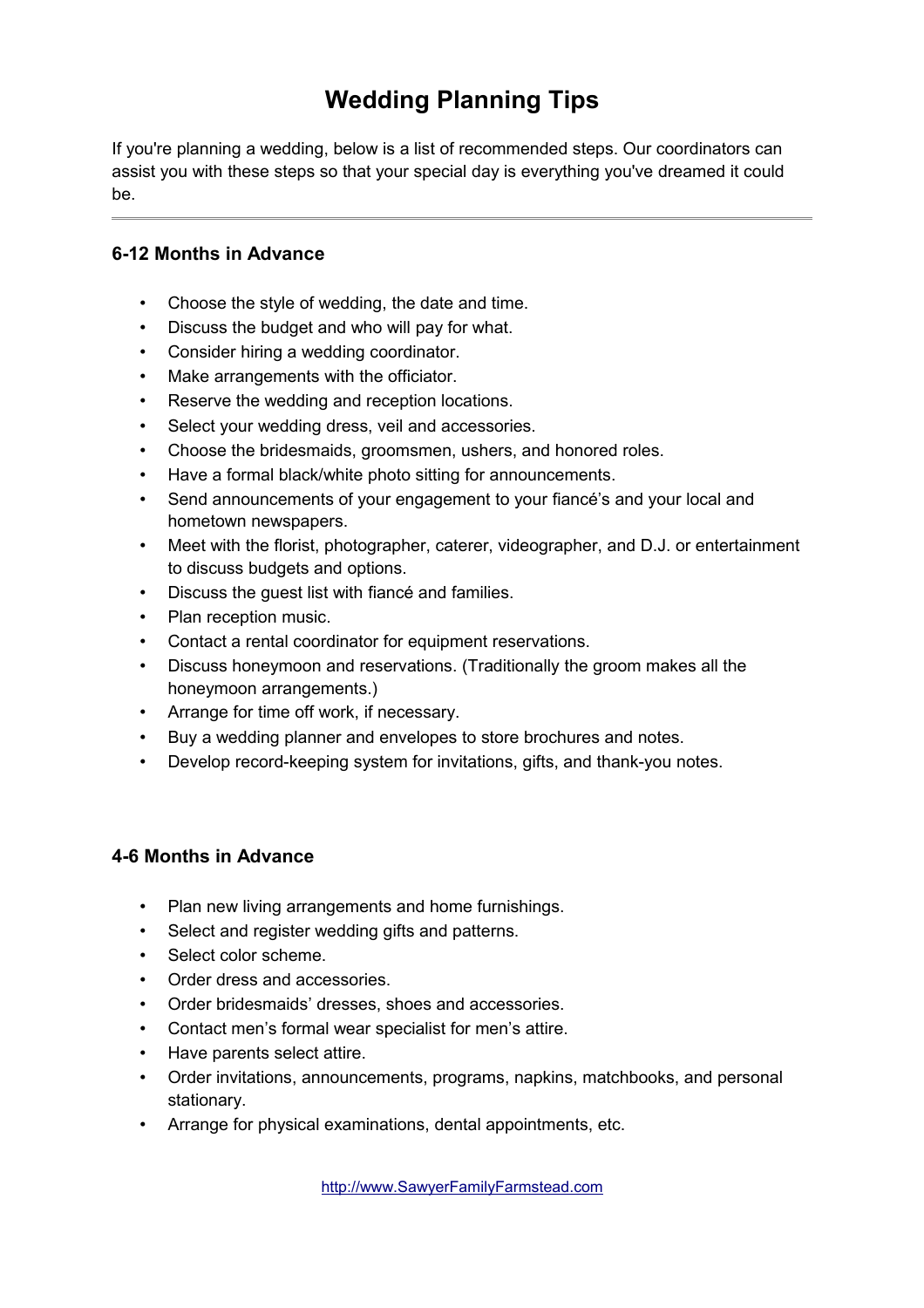# **Wedding Planning Tips**

If you're planning a wedding, below is a list of recommended steps. Our coordinators can assist you with these steps so that your special day is everything you've dreamed it could be.

#### **6-12 Months in Advance**

- Choose the style of wedding, the date and time.
- Discuss the budget and who will pay for what.
- Consider hiring a wedding coordinator.
- Make arrangements with the officiator.
- Reserve the wedding and reception locations.
- Select your wedding dress, veil and accessories.
- Choose the bridesmaids, groomsmen, ushers, and honored roles.
- Have a formal black/white photo sitting for announcements.
- Send announcements of your engagement to your fiancé's and your local and hometown newspapers.
- Meet with the florist, photographer, caterer, videographer, and D.J. or entertainment to discuss budgets and options.
- Discuss the quest list with fiancé and families.
- Plan reception music.
- Contact a rental coordinator for equipment reservations.
- Discuss honeymoon and reservations. (Traditionally the groom makes all the honeymoon arrangements.)
- Arrange for time off work, if necessary.
- Buy a wedding planner and envelopes to store brochures and notes.
- Develop record-keeping system for invitations, gifts, and thank-you notes.

#### **4-6 Months in Advance**

- Plan new living arrangements and home furnishings.
- Select and register wedding gifts and patterns.
- Select color scheme.
- Order dress and accessories.
- Order bridesmaids' dresses, shoes and accessories.
- Contact men's formal wear specialist for men's attire.
- Have parents select attire.
- Order invitations, announcements, programs, napkins, matchbooks, and personal stationary.
- Arrange for physical examinations, dental appointments, etc.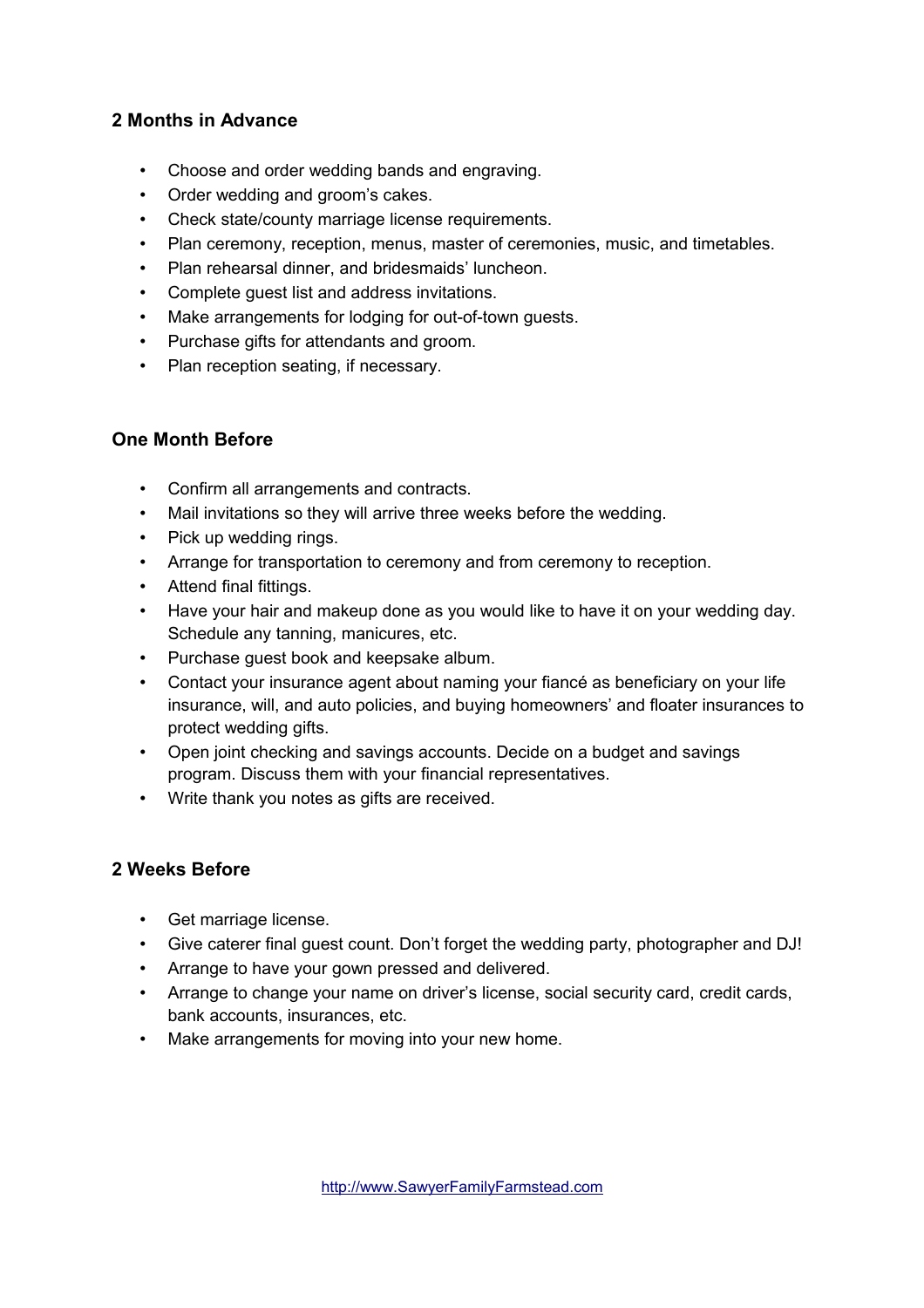### **2 Months in Advance**

- Choose and order wedding bands and engraving.
- Order wedding and groom's cakes.
- Check state/county marriage license requirements.
- Plan ceremony, reception, menus, master of ceremonies, music, and timetables.
- Plan rehearsal dinner, and bridesmaids' luncheon.
- Complete guest list and address invitations.
- Make arrangements for lodging for out-of-town guests.
- Purchase gifts for attendants and groom.
- Plan reception seating, if necessary.

#### **One Month Before**

- Confirm all arrangements and contracts.
- Mail invitations so they will arrive three weeks before the wedding.
- Pick up wedding rings.
- Arrange for transportation to ceremony and from ceremony to reception.
- Attend final fittings.
- Have your hair and makeup done as you would like to have it on your wedding day. Schedule any tanning, manicures, etc.
- Purchase guest book and keepsake album.
- Contact your insurance agent about naming your fiancé as beneficiary on your life insurance, will, and auto policies, and buying homeowners' and floater insurances to protect wedding gifts.
- Open joint checking and savings accounts. Decide on a budget and savings program. Discuss them with your financial representatives.
- Write thank you notes as gifts are received.

#### **2 Weeks Before**

- Get marriage license.
- Give caterer final guest count. Don't forget the wedding party, photographer and DJ!
- Arrange to have your gown pressed and delivered.
- Arrange to change your name on driver's license, social security card, credit cards, bank accounts, insurances, etc.
- Make arrangements for moving into your new home.